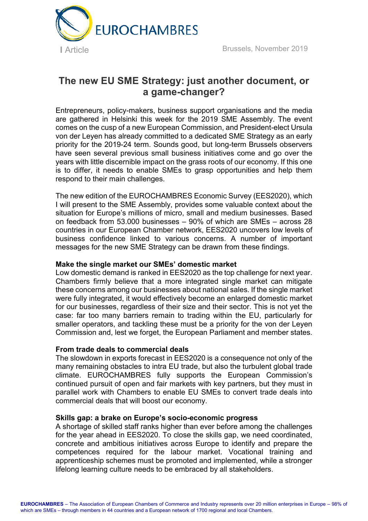

# **The new EU SME Strategy: just another document, or a game-changer?**

Entrepreneurs, policy-makers, business support organisations and the media are gathered in Helsinki this week for the 2019 SME Assembly. The event comes on the cusp of a new European Commission, and President-elect Ursula von der Leyen has already committed to a dedicated SME Strategy as an early priority for the 2019-24 term. Sounds good, but long-term Brussels observers have seen several previous small business initiatives come and go over the years with little discernible impact on the grass roots of our economy. If this one is to differ, it needs to enable SMEs to grasp opportunities and help them respond to their main challenges.

The new edition of the EUROCHAMBRES Economic Survey (EES2020), which I will present to the SME Assembly, provides some valuable context about the situation for Europe's millions of micro, small and medium businesses. Based on feedback from 53.000 businesses – 90% of which are SMEs – across 28 countries in our European Chamber network, EES2020 uncovers low levels of business confidence linked to various concerns. A number of important messages for the new SME Strategy can be drawn from these findings.

# **Make the single market our SMEs' domestic market**

Low domestic demand is ranked in EES2020 as the top challenge for next year. Chambers firmly believe that a more integrated single market can mitigate these concerns among our businesses about national sales. If the single market were fully integrated, it would effectively become an enlarged domestic market for our businesses, regardless of their size and their sector. This is not yet the case: far too many barriers remain to trading within the EU, particularly for smaller operators, and tackling these must be a priority for the von der Leyen Commission and, lest we forget, the European Parliament and member states.

## **From trade deals to commercial deals**

The slowdown in exports forecast in EES2020 is a consequence not only of the many remaining obstacles to intra EU trade, but also the turbulent global trade climate. EUROCHAMBRES fully supports the European Commission's continued pursuit of open and fair markets with key partners, but they must in parallel work with Chambers to enable EU SMEs to convert trade deals into commercial deals that will boost our economy.

#### **Skills gap: a brake on Europe's socio-economic progress**

A shortage of skilled staff ranks higher than ever before among the challenges for the year ahead in EES2020. To close the skills gap, we need coordinated, concrete and ambitious initiatives across Europe to identify and prepare the competences required for the labour market. Vocational training and apprenticeship schemes must be promoted and implemented, while a stronger lifelong learning culture needs to be embraced by all stakeholders.